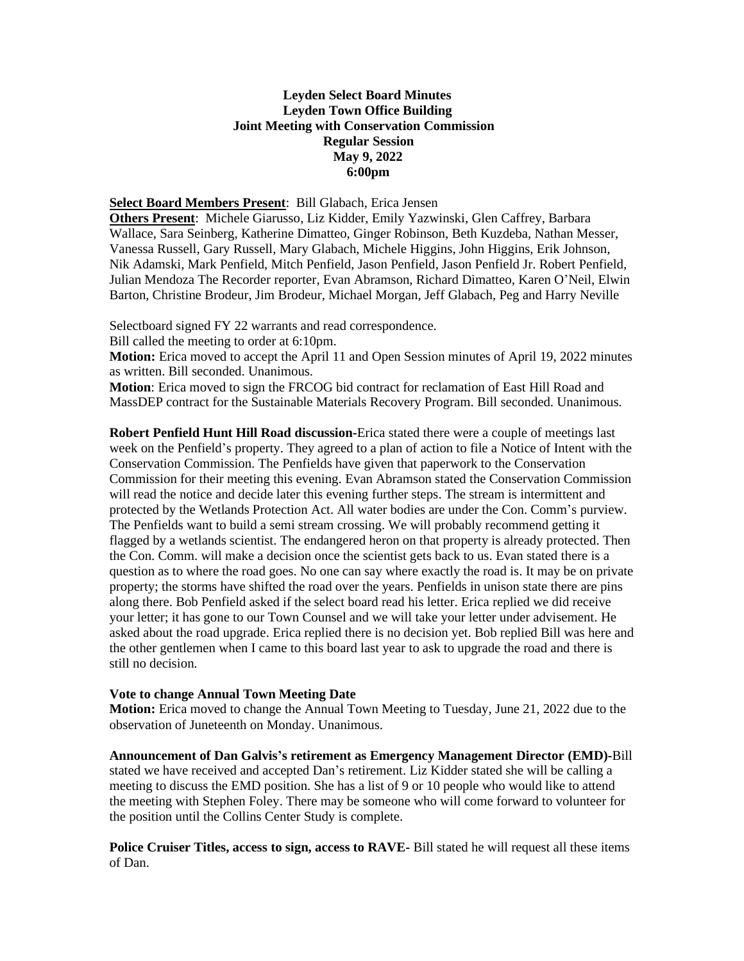## **Leyden Select Board Minutes Leyden Town Office Building Joint Meeting with Conservation Commission Regular Session May 9, 2022 6:00pm**

## **Select Board Members Present**: Bill Glabach, Erica Jensen

**Others Present**: Michele Giarusso, Liz Kidder, Emily Yazwinski, Glen Caffrey, Barbara Wallace, Sara Seinberg, Katherine Dimatteo, Ginger Robinson, Beth Kuzdeba, Nathan Messer, Vanessa Russell, Gary Russell, Mary Glabach, Michele Higgins, John Higgins, Erik Johnson, Nik Adamski, Mark Penfield, Mitch Penfield, Jason Penfield, Jason Penfield Jr. Robert Penfield, Julian Mendoza The Recorder reporter, Evan Abramson, Richard Dimatteo, Karen O'Neil, Elwin Barton, Christine Brodeur, Jim Brodeur, Michael Morgan, Jeff Glabach, Peg and Harry Neville

Selectboard signed FY 22 warrants and read correspondence.

Bill called the meeting to order at 6:10pm.

**Motion:** Erica moved to accept the April 11 and Open Session minutes of April 19, 2022 minutes as written. Bill seconded. Unanimous.

**Motion**: Erica moved to sign the FRCOG bid contract for reclamation of East Hill Road and MassDEP contract for the Sustainable Materials Recovery Program. Bill seconded. Unanimous.

**Robert Penfield Hunt Hill Road discussion-**Erica stated there were a couple of meetings last week on the Penfield's property. They agreed to a plan of action to file a Notice of Intent with the Conservation Commission. The Penfields have given that paperwork to the Conservation Commission for their meeting this evening. Evan Abramson stated the Conservation Commission will read the notice and decide later this evening further steps. The stream is intermittent and protected by the Wetlands Protection Act. All water bodies are under the Con. Comm's purview. The Penfields want to build a semi stream crossing. We will probably recommend getting it flagged by a wetlands scientist. The endangered heron on that property is already protected. Then the Con. Comm. will make a decision once the scientist gets back to us. Evan stated there is a question as to where the road goes. No one can say where exactly the road is. It may be on private property; the storms have shifted the road over the years. Penfields in unison state there are pins along there. Bob Penfield asked if the select board read his letter. Erica replied we did receive your letter; it has gone to our Town Counsel and we will take your letter under advisement. He asked about the road upgrade. Erica replied there is no decision yet. Bob replied Bill was here and the other gentlemen when I came to this board last year to ask to upgrade the road and there is still no decision.

## **Vote to change Annual Town Meeting Date**

**Motion:** Erica moved to change the Annual Town Meeting to Tuesday, June 21, 2022 due to the observation of Juneteenth on Monday. Unanimous.

**Announcement of Dan Galvis's retirement as Emergency Management Director (EMD)-**Bill stated we have received and accepted Dan's retirement. Liz Kidder stated she will be calling a meeting to discuss the EMD position. She has a list of 9 or 10 people who would like to attend the meeting with Stephen Foley. There may be someone who will come forward to volunteer for the position until the Collins Center Study is complete.

**Police Cruiser Titles, access to sign, access to RAVE-** Bill stated he will request all these items of Dan.